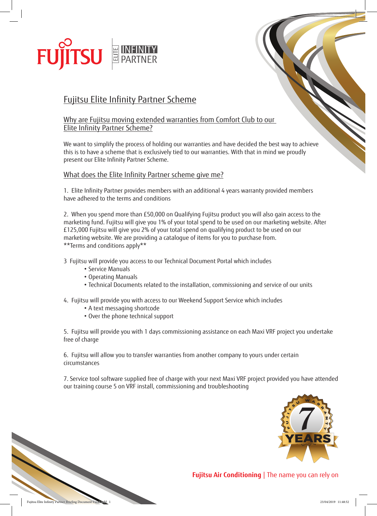

# Fujitsu Elite Infinity Partner Scheme

## Why are Fujitsu moving extended warranties from Comfort Club to our Elite Infinity Partner Scheme?

We want to simplify the process of holding our warranties and have decided the best way to achieve this is to have a scheme that is exclusively tied to our warranties. With that in mind we proudly present our Elite Infinity Partner Scheme.

## What does the Elite Infinity Partner scheme give me?

1. Elite Infinity Partner provides members with an additional 4 years warranty provided members have adhered to the terms and conditions

2. When you spend more than £50,000 on Qualifying Fujitsu product you will also gain access to the marketing fund. Fujitsu will give you 1% of your total spend to be used on our marketing website. After £125,000 Fujitsu will give you 2% of your total spend on qualifying product to be used on our marketing website. We are providing a catalogue of items for you to purchase from. \*\*Terms and conditions apply\*\*

3 Fujitsu will provide you access to our Technical Document Portal which includes

- Service Manuals
- Operating Manuals
- Technical Documents related to the installation, commissioning and service of our units

4. Fujitsu will provide you with access to our Weekend Support Service which includes

- A text messaging shortcode
- Over the phone technical support

5. Fujitsu will provide you with 1 days commissioning assistance on each Maxi VRF project you undertake free of charge

6. Fujitsu will allow you to transfer warranties from another company to yours under certain circumstances

7. Service tool software supplied free of charge with your next Maxi VRF project provided you have attended our training course 5 on VRF install, commissioning and troubleshooting



**Fujitsu Air Conditioning** | The name you can rely on